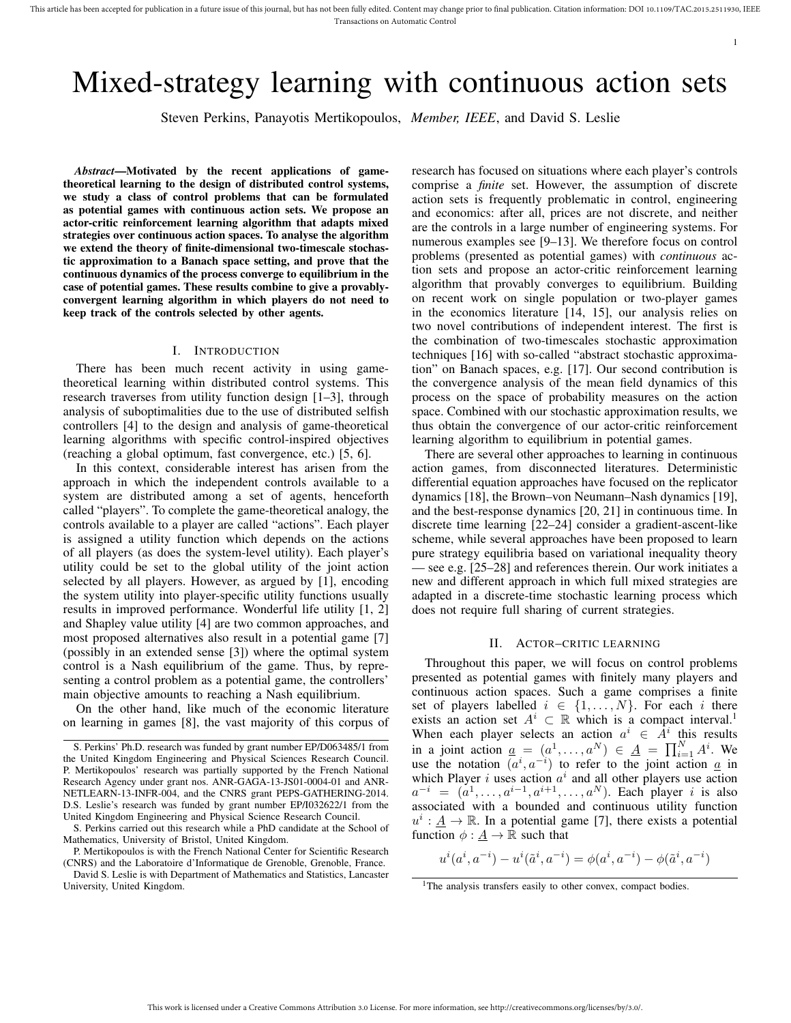# Mixed-strategy learning with continuous action sets

Steven Perkins, Panayotis Mertikopoulos, *Member, IEEE*, and David S. Leslie

*Abstract*—Motivated by the recent applications of gametheoretical learning to the design of distributed control systems, we study a class of control problems that can be formulated as potential games with continuous action sets. We propose an actor-critic reinforcement learning algorithm that adapts mixed strategies over continuous action spaces. To analyse the algorithm we extend the theory of finite-dimensional two-timescale stochastic approximation to a Banach space setting, and prove that the continuous dynamics of the process converge to equilibrium in the case of potential games. These results combine to give a provablyconvergent learning algorithm in which players do not need to keep track of the controls selected by other agents.

#### I. INTRODUCTION

There has been much recent activity in using gametheoretical learning within distributed control systems. This research traverses from utility function design [1–3], through analysis of suboptimalities due to the use of distributed selfish controllers [4] to the design and analysis of game-theoretical learning algorithms with specific control-inspired objectives (reaching a global optimum, fast convergence, etc.) [5, 6].

In this context, considerable interest has arisen from the approach in which the independent controls available to a system are distributed among a set of agents, henceforth called "players". To complete the game-theoretical analogy, the controls available to a player are called "actions". Each player is assigned a utility function which depends on the actions of all players (as does the system-level utility). Each player's utility could be set to the global utility of the joint action selected by all players. However, as argued by [1], encoding the system utility into player-specific utility functions usually results in improved performance. Wonderful life utility [1, 2] and Shapley value utility [4] are two common approaches, and most proposed alternatives also result in a potential game [7] (possibly in an extended sense [3]) where the optimal system control is a Nash equilibrium of the game. Thus, by representing a control problem as a potential game, the controllers' main objective amounts to reaching a Nash equilibrium.

On the other hand, like much of the economic literature on learning in games [8], the vast majority of this corpus of research has focused on situations where each player's controls comprise a *finite* set. However, the assumption of discrete action sets is frequently problematic in control, engineering and economics: after all, prices are not discrete, and neither are the controls in a large number of engineering systems. For numerous examples see [9–13]. We therefore focus on control problems (presented as potential games) with *continuous* action sets and propose an actor-critic reinforcement learning algorithm that provably converges to equilibrium. Building on recent work on single population or two-player games in the economics literature [14, 15], our analysis relies on two novel contributions of independent interest. The first is the combination of two-timescales stochastic approximation techniques [16] with so-called "abstract stochastic approximation" on Banach spaces, e.g. [17]. Our second contribution is the convergence analysis of the mean field dynamics of this process on the space of probability measures on the action space. Combined with our stochastic approximation results, we thus obtain the convergence of our actor-critic reinforcement learning algorithm to equilibrium in potential games.

1

There are several other approaches to learning in continuous action games, from disconnected literatures. Deterministic differential equation approaches have focused on the replicator dynamics [18], the Brown–von Neumann–Nash dynamics [19], and the best-response dynamics [20, 21] in continuous time. In discrete time learning [22–24] consider a gradient-ascent-like scheme, while several approaches have been proposed to learn pure strategy equilibria based on variational inequality theory — see e.g. [25–28] and references therein. Our work initiates a new and different approach in which full mixed strategies are adapted in a discrete-time stochastic learning process which does not require full sharing of current strategies.

#### II. ACTOR–CRITIC LEARNING

Throughout this paper, we will focus on control problems presented as potential games with finitely many players and continuous action spaces. Such a game comprises a finite set of players labelled  $i \in \{1, \ldots, N\}$ . For each i there exists an action set  $A^i \subset \mathbb{R}$  which is a compact interval.<sup>1</sup> When each player selects an action  $a^i \in \hat{A}^i$  this results in a joint action  $\underline{a} = (a^1, \dots, a^N) \in \underline{A} = \prod_{i=1}^N A^i$ . We use the notation  $(a^i, a^{-i})$  to refer to the joint action  $\underline{a}$  in which Player i uses action  $a^i$  and all other players use action  $a^{-i} = (a^1, \ldots, a^{i-1}, a^{i+1}, \ldots, a^N)$ . Each player i is also associated with a bounded and continuous utility function  $u^i: \underline{A} \to \mathbb{R}$ . In a potential game [7], there exists a potential function  $\phi : \underline{A} \to \mathbb{R}$  such that

$$
u^i(a^i, a^{-i}) - u^i(\tilde{a}^i, a^{-i}) = \phi(a^i, a^{-i}) - \phi(\tilde{a}^i, a^{-i})
$$

S. Perkins' Ph.D. research was funded by grant number EP/D063485/1 from the United Kingdom Engineering and Physical Sciences Research Council. P. Mertikopoulos' research was partially supported by the French National Research Agency under grant nos. ANR-GAGA-13-JS01-0004-01 and ANR-NETLEARN-13-INFR-004, and the CNRS grant PEPS-GATHERING-2014. D.S. Leslie's research was funded by grant number EP/I032622/1 from the United Kingdom Engineering and Physical Science Research Council.

S. Perkins carried out this research while a PhD candidate at the School of Mathematics, University of Bristol, United Kingdom.

P. Mertikopoulos is with the French National Center for Scientific Research (CNRS) and the Laboratoire d'Informatique de Grenoble, Grenoble, France.

David S. Leslie is with Department of Mathematics and Statistics, Lancaster University, United Kingdom.

<sup>&</sup>lt;sup>1</sup>The analysis transfers easily to other convex, compact bodies.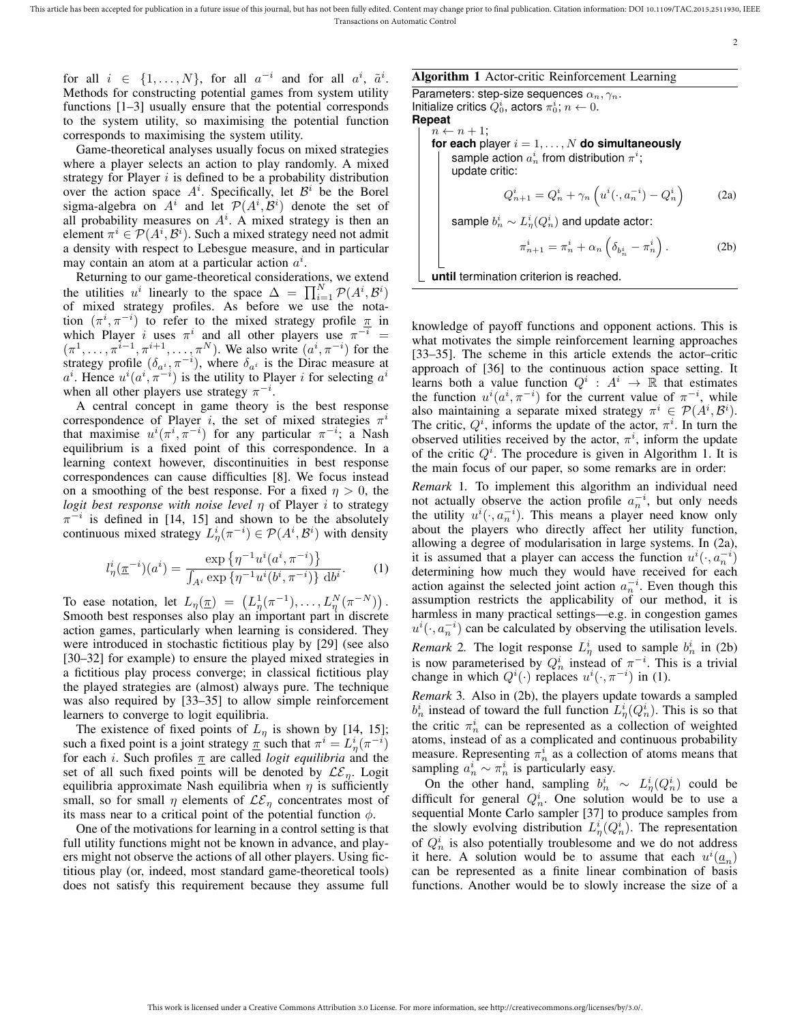$\overline{2}$ 

for all  $i \in \{1, \ldots, N\}$ , for all  $a^{-i}$  and for all  $a^i$ ,  $\tilde{a}^i$ . Methods for constructing potential games from system utility functions [1–3] usually ensure that the potential corresponds to the system utility, so maximising the potential function corresponds to maximising the system utility.

Game-theoretical analyses usually focus on mixed strategies where a player selects an action to play randomly. A mixed strategy for Player  $i$  is defined to be a probability distribution over the action space  $A^i$ . Specifically, let  $B^i$  be the Borel sigma-algebra on  $A^i$  and let  $\mathcal{P}(A^i, \mathcal{B}^i)$  denote the set of all probability measures on  $A^i$ . A mixed strategy is then an element  $\pi^i \in \mathcal{P}(A^i, \mathcal{B}^i)$ . Such a mixed strategy need not admit a density with respect to Lebesgue measure, and in particular may contain an atom at a particular action  $a^i$ .

Returning to our game-theoretical considerations, we extend the utilities  $u^i$  linearly to the space  $\Delta = \prod_{i=1}^{N} \mathcal{P}(A^i, \mathcal{B}^i)$ of mixed strategy profiles. As before we use the notation  $(\pi^i, \pi^{-i})$  to refer to the mixed strategy profile  $\pi$  in which Player *i* uses  $\pi^{i}$  and all other players use  $\pi^{-i}$  =  $(\pi^1, \ldots, \pi^{i-1}, \pi^{i+1}, \ldots, \pi^N)$ . We also write  $(a^i, \pi^{-i})$  for the strategy profile  $(\delta_{a^i}, \pi^{-i})$ , where  $\delta_{a^i}$  is the Dirac measure at  $a^i$ . Hence  $u^i(a^i, \pi^{-i})$  is the utility to Player i for selecting  $a^i$ when all other players use strategy  $\pi^{-i}$ .

A central concept in game theory is the best response correspondence of Player i, the set of mixed strategies  $\pi^{i}$ that maximise  $u^{i}(\pi^{i}, \pi^{-i})$  for any particular  $\pi^{-i}$ ; a Nash equilibrium is a fixed point of this correspondence. In a learning context however, discontinuities in best response correspondences can cause difficulties [8]. We focus instead on a smoothing of the best response. For a fixed  $\eta > 0$ , the *logit best response with noise level* η of Player i to strategy  $\pi^{-i}$  is defined in [14, 15] and shown to be the absolutely continuous mixed strategy  $L^i_\eta(\pi^{-i}) \in \mathcal{P}(A^i, \mathcal{B}^i)$  with density

$$
l_{\eta}^{i}(\underline{\pi}^{-i})(a^{i}) = \frac{\exp\left\{\eta^{-1}u^{i}(a^{i}, \pi^{-i})\right\}}{\int_{A^{i}} \exp\left\{\eta^{-1}u^{i}(b^{i}, \pi^{-i})\right\}\,\mathrm{d}b^{i}}.
$$
 (1)

To ease notation, let  $L_{\eta}(\underline{\pi}) = (L_{\eta}^1(\pi^{-1}), \ldots, L_{\eta}^N(\pi^{-N}))$ . Smooth best responses also play an important part in discrete action games, particularly when learning is considered. They were introduced in stochastic fictitious play by [29] (see also [30–32] for example) to ensure the played mixed strategies in a fictitious play process converge; in classical fictitious play the played strategies are (almost) always pure. The technique was also required by [33–35] to allow simple reinforcement learners to converge to logit equilibria.

The existence of fixed points of  $L_{\eta}$  is shown by [14, 15]; such a fixed point is a joint strategy  $\underline{\pi}$  such that  $\pi^i = L^i_{\eta}(\pi^{-i})$ for each *i*. Such profiles  $\pi$  are called *logit equilibria* and the set of all such fixed points will be denoted by  $\mathcal{LE}_n$ . Logit equilibria approximate Nash equilibria when  $\eta$  is sufficiently small, so for small  $\eta$  elements of  $\mathcal{LE}_{\eta}$  concentrates most of its mass near to a critical point of the potential function  $\phi$ .

One of the motivations for learning in a control setting is that full utility functions might not be known in advance, and players might not observe the actions of all other players. Using fictitious play (or, indeed, most standard game-theoretical tools) does not satisfy this requirement because they assume full

# Algorithm 1 Actor-critic Reinforcement Learning

Parameters: step-size sequences  $\alpha_n, \gamma_n$ . Initialize critics  $Q_0^i$ , actors  $\pi_0^i$ ;  $n \leftarrow 0$ . **Repeat**  $n \leftarrow n+1;$ 

**for each** player  $i = 1, ..., N$  **do simultaneously** sample action  $a_n^i$  from distribution  $\pi^i;$ update critic:

$$
Q_{n+1}^i = Q_n^i + \gamma_n \left( u^i(\cdot, a_n^{-i}) - Q_n^i \right) \tag{2a}
$$

sample  $b_n^i \sim L^i_{\eta}(Q_n^i)$  and update actor:

$$
\pi_{n+1}^i = \pi_n^i + \alpha_n \left( \delta_{b_n^i} - \pi_n^i \right). \tag{2b}
$$

**until** termination criterion is reached.

knowledge of payoff functions and opponent actions. This is what motivates the simple reinforcement learning approaches [33–35]. The scheme in this article extends the actor–critic approach of [36] to the continuous action space setting. It learns both a value function  $Q^i$  :  $A^i \rightarrow \mathbb{R}$  that estimates the function  $u^{i}(a^{i}, \pi^{-i})$  for the current value of  $\pi^{-i}$ , while also maintaining a separate mixed strategy  $\pi^i \in \mathcal{P}(A^i, \mathcal{B}^i)$ . The critic,  $Q^i$ , informs the update of the actor,  $\pi^i$ . In turn the observed utilities received by the actor,  $\pi^{i}$ , inform the update of the critic  $Q<sup>i</sup>$ . The procedure is given in Algorithm 1. It is the main focus of our paper, so some remarks are in order:

*Remark* 1*.* To implement this algorithm an individual need not actually observe the action profile  $a_n^{-i}$ , but only needs the utility  $u^{i}(\cdot, a_{n}^{-i})$ . This means a player need know only about the players who directly affect her utility function, allowing a degree of modularisation in large systems. In (2a), it is assumed that a player can access the function  $u^{i}(\cdot, a_{n}^{-i})$ ) determining how much they would have received for each action against the selected joint action  $a_n^{-i}$ . Even though this assumption restricts the applicability of our method, it is harmless in many practical settings—e.g. in congestion games  $u^{i}(\cdot, a_{n}^{-i})$  can be calculated by observing the utilisation levels. *Remark* 2. The logit response  $L^i_\eta$  used to sample  $b^i_n$  in (2b) is now parameterised by  $Q_n^i$  instead of  $\pi^{-i}$ . This is a trivial change in which  $Q^{i}(\cdot)$  replaces  $u^{i}(\cdot, \pi^{-i})$  in (1).

*Remark* 3*.* Also in (2b), the players update towards a sampled  $b_n^i$  instead of toward the full function  $L^i_\eta(Q_n^i)$ . This is so that the critic  $\pi_n^i$  can be represented as a collection of weighted atoms, instead of as a complicated and continuous probability measure. Representing  $\pi_n^i$  as a collection of atoms means that sampling  $a_n^i \sim \pi_n^i$  is particularly easy.

On the other hand, sampling  $b_n^i \sim L^i_\eta(Q_n^i)$  could be difficult for general  $Q_n^i$ . One solution would be to use a sequential Monte Carlo sampler [37] to produce samples from the slowly evolving distribution  $L^i_\eta(Q^i_n)$ . The representation of  $Q_n^i$  is also potentially troublesome and we do not address it here. A solution would be to assume that each  $u^{i}(\underline{a}_n)$ can be represented as a finite linear combination of basis functions. Another would be to slowly increase the size of a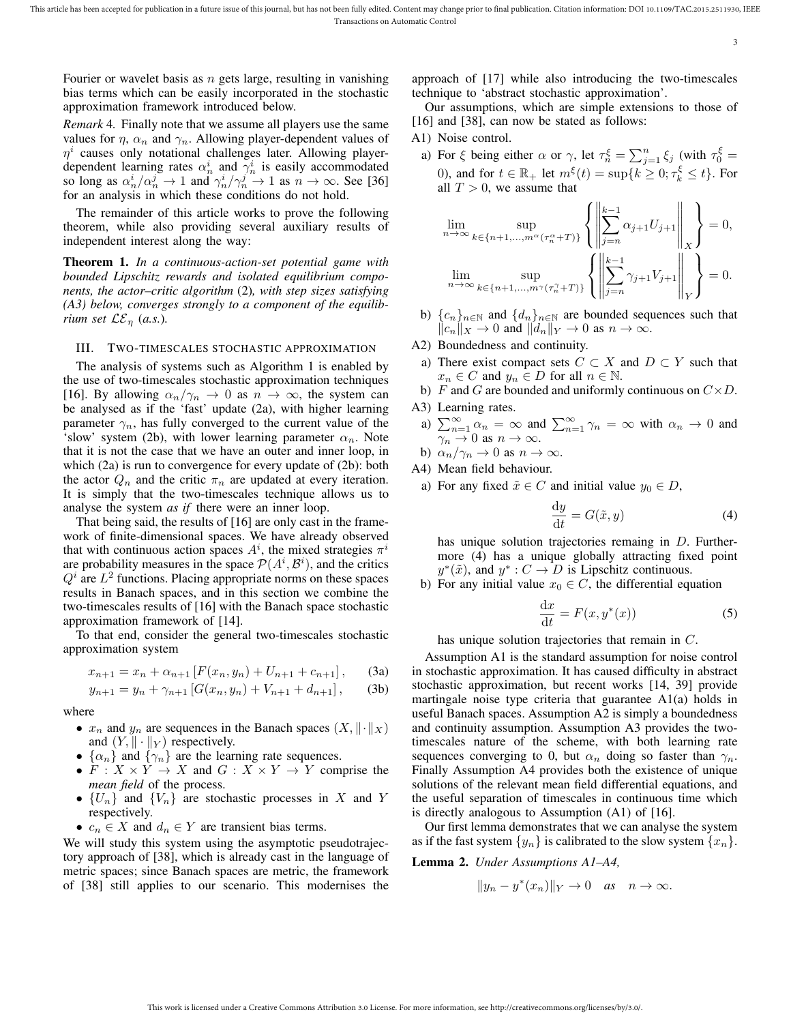3

Fourier or wavelet basis as  $n$  gets large, resulting in vanishing bias terms which can be easily incorporated in the stochastic approximation framework introduced below.

*Remark* 4*.* Finally note that we assume all players use the same values for  $\eta$ ,  $\alpha_n$  and  $\gamma_n$ . Allowing player-dependent values of  $\eta^i$  causes only notational challenges later. Allowing playerdependent learning rates  $\alpha_n^i$  and  $\gamma_n^i$  is easily accommodated so long as  $\alpha_n^i / \alpha_n^j \to 1$  and  $\gamma_n^i / \gamma_n^j \to 1$  as  $n \to \infty$ . See [36] for an analysis in which these conditions do not hold.

The remainder of this article works to prove the following theorem, while also providing several auxiliary results of independent interest along the way:

Theorem 1. *In a continuous-action-set potential game with bounded Lipschitz rewards and isolated equilibrium components, the actor–critic algorithm* (2)*, with step sizes satisfying (A3) below, converges strongly to a component of the equilibrium set*  $\mathcal{LE}_n$  (*a.s.*).

### III. TWO-TIMESCALES STOCHASTIC APPROXIMATION

The analysis of systems such as Algorithm 1 is enabled by the use of two-timescales stochastic approximation techniques [16]. By allowing  $\alpha_n/\gamma_n \to 0$  as  $n \to \infty$ , the system can be analysed as if the 'fast' update (2a), with higher learning parameter  $\gamma_n$ , has fully converged to the current value of the 'slow' system (2b), with lower learning parameter  $\alpha_n$ . Note that it is not the case that we have an outer and inner loop, in which (2a) is run to convergence for every update of (2b): both the actor  $Q_n$  and the critic  $\pi_n$  are updated at every iteration. It is simply that the two-timescales technique allows us to analyse the system *as if* there were an inner loop.

That being said, the results of [16] are only cast in the framework of finite-dimensional spaces. We have already observed that with continuous action spaces  $A^i$ , the mixed strategies  $\pi^i$ are probability measures in the space  $\mathcal{P}(A^i, \mathcal{B}^i)$ , and the critics  $Q<sup>i</sup>$  are  $L<sup>2</sup>$  functions. Placing appropriate norms on these spaces results in Banach spaces, and in this section we combine the two-timescales results of [16] with the Banach space stochastic approximation framework of [14].

To that end, consider the general two-timescales stochastic approximation system

$$
x_{n+1} = x_n + \alpha_{n+1} \left[ F(x_n, y_n) + U_{n+1} + c_{n+1} \right], \tag{3a}
$$

$$
y_{n+1} = y_n + \gamma_{n+1} \left[ G(x_n, y_n) + V_{n+1} + d_{n+1} \right], \qquad (3b)
$$

where

- $x_n$  and  $y_n$  are sequences in the Banach spaces  $(X, \|\cdot\|_X)$ and  $(Y, \|\cdot\|_Y)$  respectively.
- $\{\alpha_n\}$  and  $\{\gamma_n\}$  are the learning rate sequences.
- $F: X \times Y \to X$  and  $G: X \times Y \to Y$  comprise the *mean field* of the process.
- $\{U_n\}$  and  $\{V_n\}$  are stochastic processes in X and Y respectively.
- $c_n \in X$  and  $d_n \in Y$  are transient bias terms.

We will study this system using the asymptotic pseudotrajectory approach of [38], which is already cast in the language of metric spaces; since Banach spaces are metric, the framework of [38] still applies to our scenario. This modernises the

approach of [17] while also introducing the two-timescales technique to 'abstract stochastic approximation'.

Our assumptions, which are simple extensions to those of [16] and [38], can now be stated as follows:

- A1) Noise control.
	- a) For  $\xi$  being either  $\alpha$  or  $\gamma$ , let  $\tau_n^{\xi} = \sum_{j=1}^n \xi_j$  (with  $\tau_0^{\xi} =$ 0), and for  $t \in \mathbb{R}_+$  let  $m^{\xi}(t) = \sup\{k \ge 0; \tau_k^{\xi} \le t\}$ . For all  $T > 0$ , we assume that

$$
\lim_{n \to \infty} \sup_{k \in \{n+1, \dots, m^{\alpha}(\tau_n^{\alpha} + T)\}} \left\{ \left\| \sum_{j=n}^{k-1} \alpha_{j+1} U_{j+1} \right\|_X \right\} = 0,
$$
  

$$
\lim_{n \to \infty} \sup_{k \in \{n+1, \dots, m^{\gamma}(\tau_n^{\gamma} + T)\}} \left\{ \left\| \sum_{j=n}^{k-1} \gamma_{j+1} V_{j+1} \right\|_Y \right\} = 0.
$$

- b)  ${c_n}_{n\in\mathbb{N}}$  and  ${d_n}_{n\in\mathbb{N}}$  are bounded sequences such that  $\Vert c_n \Vert_X \to 0$  and  $\Vert d_n \Vert_Y \to 0$  as  $n \to \infty$ .
- A2) Boundedness and continuity.
- a) There exist compact sets  $C \subset X$  and  $D \subset Y$  such that  $x_n \in C$  and  $y_n \in D$  for all  $n \in \mathbb{N}$ .
- b) F and G are bounded and uniformly continuous on  $C \times D$ .
- A3) Learning rates.
- a)  $\sum_{n=1}^{\infty} \alpha_n = \infty$  and  $\sum_{n=1}^{\infty} \gamma_n = \infty$  with  $\alpha_n \to 0$  and  $\gamma_n \to 0$  as  $n \to \infty$ .

b) 
$$
\alpha_n/\gamma_n \to 0
$$
 as  $n \to \infty$ .

A4) Mean field behaviour.

a) For any fixed  $\tilde{x} \in C$  and initial value  $y_0 \in D$ ,

$$
\frac{\mathrm{d}y}{\mathrm{d}t} = G(\tilde{x}, y) \tag{4}
$$

has unique solution trajectories remaing in D. Furthermore (4) has a unique globally attracting fixed point  $y^*(\tilde{x})$ , and  $y^*: C \to D$  is Lipschitz continuous.

b) For any initial value  $x_0 \in C$ , the differential equation

$$
\frac{\mathrm{d}x}{\mathrm{d}t} = F(x, y^*(x))\tag{5}
$$

has unique solution trajectories that remain in C.

Assumption A1 is the standard assumption for noise control in stochastic approximation. It has caused difficulty in abstract stochastic approximation, but recent works [14, 39] provide martingale noise type criteria that guarantee A1(a) holds in useful Banach spaces. Assumption A2 is simply a boundedness and continuity assumption. Assumption A3 provides the twotimescales nature of the scheme, with both learning rate sequences converging to 0, but  $\alpha_n$  doing so faster than  $\gamma_n$ . Finally Assumption A4 provides both the existence of unique solutions of the relevant mean field differential equations, and the useful separation of timescales in continuous time which is directly analogous to Assumption (A1) of [16].

Our first lemma demonstrates that we can analyse the system as if the fast system  $\{y_n\}$  is calibrated to the slow system  $\{x_n\}$ .

Lemma 2. *Under Assumptions A1–A4,*

$$
||y_n - y^*(x_n)||_Y \to 0 \quad as \quad n \to \infty.
$$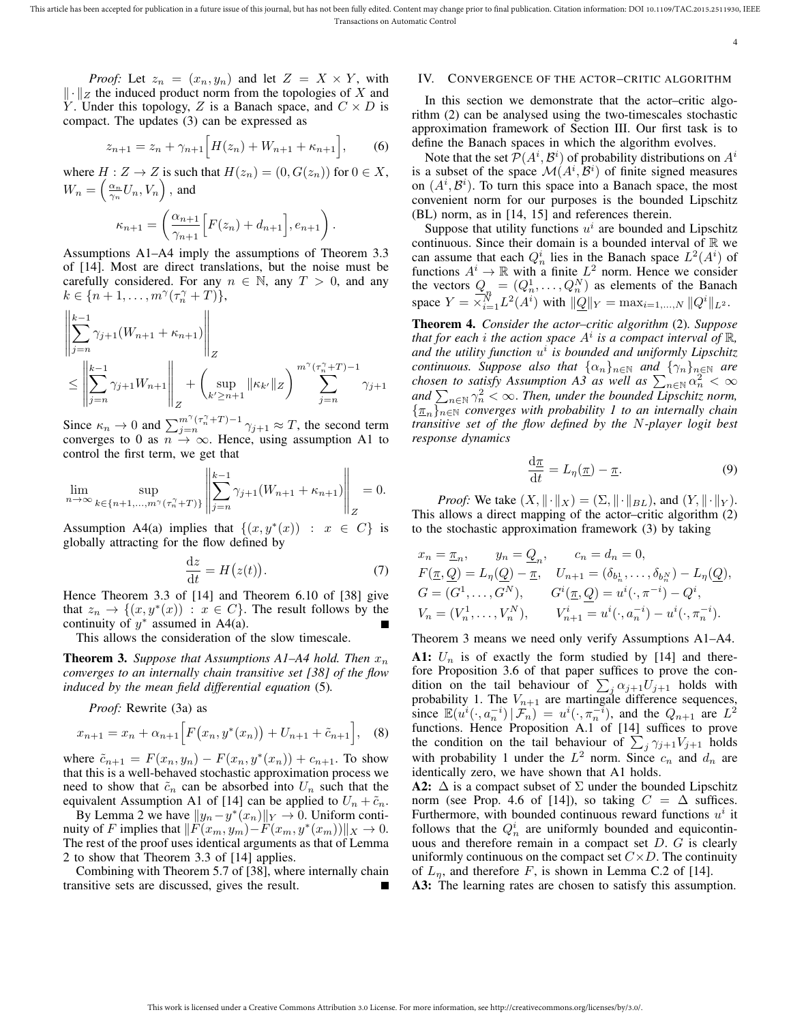4

*Proof:* Let  $z_n = (x_n, y_n)$  and let  $Z = X \times Y$ , with  $\| \cdot \|_Z$  the induced product norm from the topologies of X and Y. Under this topology, Z is a Banach space, and  $C \times D$  is compact. The updates (3) can be expressed as

$$
z_{n+1} = z_n + \gamma_{n+1} \Big[ H(z_n) + W_{n+1} + \kappa_{n+1} \Big], \qquad (6)
$$

.

where  $H : Z \to Z$  is such that  $H(z_n) = (0, G(z_n))$  for  $0 \in X$ ,  $W_n = \left(\frac{\alpha_n}{\gamma_n}U_n, V_n\right),$  and

$$
\kappa_{n+1} = \left(\frac{\alpha_{n+1}}{\gamma_{n+1}} \Big[ F(z_n) + d_{n+1} \Big], e_{n+1} \right)
$$

Assumptions A1–A4 imply the assumptions of Theorem 3.3 of [14]. Most are direct translations, but the noise must be carefully considered. For any  $n \in \mathbb{N}$ , any  $T > 0$ , and any  $k \in \{n+1,\ldots,m^\gamma(\tau_n^\gamma+T)\},\$ 

$$
\left\| \sum_{j=n}^{k-1} \gamma_{j+1} (W_{n+1} + \kappa_{n+1}) \right\|_Z
$$
  

$$
\leq \left\| \sum_{j=n}^{k-1} \gamma_{j+1} W_{n+1} \right\|_Z + \left( \sup_{k' \geq n+1} \|\kappa_{k'}\|_Z \right)^{m^{\gamma}(\tau_n^{\gamma} + T) - 1} \sum_{j=n}^{\infty} \gamma_{j+1} \gamma_{j+1}
$$

Since  $\kappa_n \to 0$  and  $\sum_{j=n}^{m^{\gamma}(\tau_n^{\gamma}+T)-1} \gamma_{j+1} \approx T$ , the second term converges to 0 as  $n \to \infty$ . Hence, using assumption A1 to control the first term, we get that

$$
\lim_{n \to \infty} \sup_{k \in \{n+1, \dots, m^{\gamma}(\tau_n^{\gamma} + T)\}} \left\| \sum_{j=n}^{k-1} \gamma_{j+1}(W_{n+1} + \kappa_{n+1}) \right\|_Z = 0.
$$

Assumption A4(a) implies that  $\{(x, y^*(x)) : x \in C\}$  is globally attracting for the flow defined by

$$
\frac{\mathrm{d}z}{\mathrm{d}t} = H(z(t)).\tag{7}
$$

Hence Theorem 3.3 of [14] and Theorem 6.10 of [38] give that  $z_n \to \{(x, y^*(x)) : x \in C\}$ . The result follows by the continuity of  $y^*$  assumed in A4(a).

This allows the consideration of the slow timescale.

**Theorem 3.** Suppose that Assumptions A1–A4 hold. Then  $x_n$ *converges to an internally chain transitive set [38] of the flow induced by the mean field differential equation* (5)*.*

*Proof:* Rewrite (3a) as

$$
x_{n+1} = x_n + \alpha_{n+1} \Big[ F(x_n, y^*(x_n)) + U_{n+1} + \tilde{c}_{n+1} \Big], \quad (8)
$$

where  $\tilde{c}_{n+1} = F(x_n, y_n) - F(x_n, y^*(x_n)) + c_{n+1}$ . To show that this is a well-behaved stochastic approximation process we need to show that  $\tilde{c}_n$  can be absorbed into  $U_n$  such that the equivalent Assumption A1 of [14] can be applied to  $U_n + \tilde{c}_n$ .

By Lemma 2 we have  $||y_n - y^*(x_n)||_Y \to 0$ . Uniform continuity of F implies that  $\Vert F(x_m, y_m) - F(x_m, y^*(x_m)) \Vert_X \to 0$ . The rest of the proof uses identical arguments as that of Lemma 2 to show that Theorem 3.3 of [14] applies.

Combining with Theorem 5.7 of [38], where internally chain transitive sets are discussed, gives the result.

## IV. CONVERGENCE OF THE ACTOR–CRITIC ALGORITHM

In this section we demonstrate that the actor–critic algorithm (2) can be analysed using the two-timescales stochastic approximation framework of Section III. Our first task is to define the Banach spaces in which the algorithm evolves.

Note that the set  $\mathcal{P}(A^i, \mathcal{B}^i)$  of probability distributions on  $A^i$ is a subset of the space  $\mathcal{M}(A^i, \mathcal{B}^i)$  of finite signed measures on  $(A^i, B^i)$ . To turn this space into a Banach space, the most convenient norm for our purposes is the bounded Lipschitz (BL) norm, as in [14, 15] and references therein.

Suppose that utility functions  $u^i$  are bounded and Lipschitz continuous. Since their domain is a bounded interval of  $\mathbb R$  we can assume that each  $Q_n^i$  lies in the Banach space  $L^2(A^i)$  of can assume that each  $Q_n$  lies in the Banach space  $L(A)$  of functions  $A^i \to \mathbb{R}$  with a finite  $L^2$  norm. Hence we consider the vectors  $Q_n = (Q_n^1, \dots, Q_n^N)$  as elements of the Banach space  $Y = \times_{i=1}^{N} L^2(A^i)$  with  $||Q||_Y = \max_{i=1,\dots,N} ||Q^i||_{L^2}$ .

Theorem 4. *Consider the actor–critic algorithm* (2)*. Suppose that for each* i *the action space* A<sup>i</sup> *is a compact interval of* R*, and the utility function* u i *is bounded and uniformly Lipschitz continuous. Suppose also that*  $\{\alpha_n\}_{n\in\mathbb{N}}$  *and*  $\{\gamma_n\}_{n\in\mathbb{N}}$  *are chosen to satisfy Assumption A3 as well as*  $\sum_{n\in\mathbb{N}}\alpha_n^2 < \infty$ and  $\sum_{n\in\mathbb{N}}\gamma_n^2<\infty$ . *Then, under the bounded Lipschitz norm,* {πn}n∈<sup>N</sup> *converges with probability 1 to an internally chain transitive set of the flow defined by the* N*-player logit best response dynamics*

$$
\frac{\mathrm{d}\pi}{\mathrm{d}t} = L_{\eta}(\underline{\pi}) - \underline{\pi}.\tag{9}
$$

*Proof:* We take  $(X, \|\cdot\|_X) = (\Sigma, \|\cdot\|_{BL})$ , and  $(Y, \|\cdot\|_Y)$ . This allows a direct mapping of the actor–critic algorithm (2) to the stochastic approximation framework (3) by taking

$$
x_n = \underline{\pi}_n, \qquad y_n = \underline{Q}_n, \qquad c_n = d_n = 0,
$$
  
\n
$$
F(\underline{\pi}, \underline{Q}) = L_{\eta}(\underline{Q}) - \underline{\pi}, \qquad U_{n+1} = (\delta_{b_n^1}, \dots, \delta_{b_n^N}) - L_{\eta}(\underline{Q}),
$$
  
\n
$$
G = (G^1, \dots, G^N), \qquad G^i(\underline{\pi}, \underline{Q}) = u^i(\cdot, \pi^{-i}) - Q^i,
$$
  
\n
$$
V_n = (V_n^1, \dots, V_n^N), \qquad V_{n+1}^i = u^i(\cdot, a_n^{-i}) - u^i(\cdot, \pi_n^{-i}).
$$

Theorem 3 means we need only verify Assumptions A1–A4. A1:  $U_n$  is of exactly the form studied by [14] and therefore Proposition 3.6 of that paper suffices to prove the condition on the tail behaviour of  $\sum_j \alpha_{j+1} U_{j+1}$  holds with probability 1. The  $V_{n+1}$  are martingale difference sequences, since  $\mathbb{E}(u^{i}(\cdot, a^{-i}) | \mathcal{F}_n) = u^{i}(\cdot, \pi^{-i}_n)$ , and the  $Q_{n+1}$  are  $L^2$ functions. Hence Proposition A.1 of [14] suffices to prove the condition on the tail behaviour of  $\sum_j \gamma_{j+1} V_{j+1}$  holds with probability 1 under the  $L^2$  norm. Since  $c_n$  and  $d_n$  are identically zero, we have shown that A1 holds.

A2:  $\Delta$  is a compact subset of  $\Sigma$  under the bounded Lipschitz norm (see Prop. 4.6 of [14]), so taking  $C = \Delta$  suffices. Furthermore, with bounded continuous reward functions  $u^i$  it follows that the  $Q_n^i$  are uniformly bounded and equicontinuous and therefore remain in a compact set  $D$ .  $G$  is clearly uniformly continuous on the compact set  $C \times D$ . The continuity of  $L_n$ , and therefore F, is shown in Lemma C.2 of [14].

A3: The learning rates are chosen to satisfy this assumption.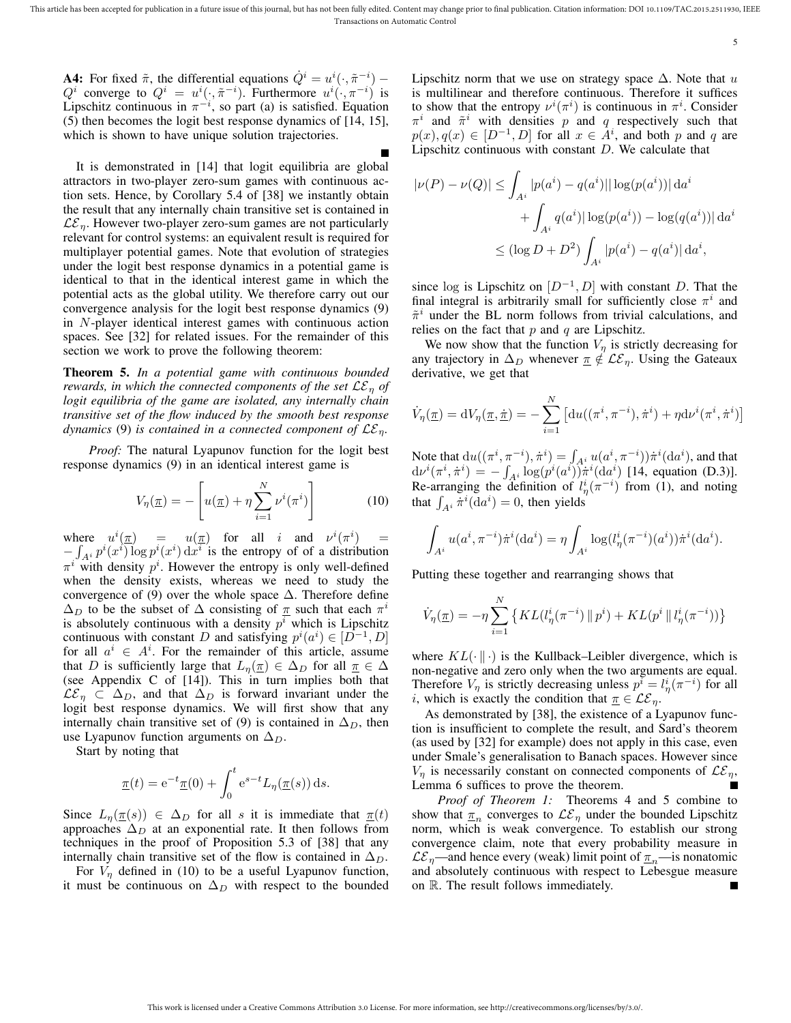5

**A4:** For fixed  $\tilde{\pi}$ , the differential equations  $\dot{Q}^i = u^i(\cdot, \tilde{\pi}^{-i})$  $Q^i$  converge to  $Q^i = u^i(\cdot, \tilde{\pi}^{-i})$ . Furthermore  $u^i(\cdot, \pi^{-i})$  is Lipschitz continuous in  $\pi^{-i}$ , so part (a) is satisfied. Equation (5) then becomes the logit best response dynamics of [14, 15], which is shown to have unique solution trajectories.

It is demonstrated in [14] that logit equilibria are global attractors in two-player zero-sum games with continuous action sets. Hence, by Corollary 5.4 of [38] we instantly obtain the result that any internally chain transitive set is contained in  $\mathcal{LE}_n$ . However two-player zero-sum games are not particularly relevant for control systems: an equivalent result is required for multiplayer potential games. Note that evolution of strategies under the logit best response dynamics in a potential game is identical to that in the identical interest game in which the potential acts as the global utility. We therefore carry out our convergence analysis for the logit best response dynamics (9) in N-player identical interest games with continuous action spaces. See [32] for related issues. For the remainder of this section we work to prove the following theorem:

Theorem 5. *In a potential game with continuous bounded rewards, in which the connected components of the set*  $\mathcal{LE}_\eta$  *of logit equilibria of the game are isolated, any internally chain transitive set of the flow induced by the smooth best response dynamics* (9) *is contained in a connected component of*  $LE_n$ .

*Proof:* The natural Lyapunov function for the logit best response dynamics (9) in an identical interest game is

$$
V_{\eta}(\underline{\pi}) = -\left[u(\underline{\pi}) + \eta \sum_{i=1}^{N} \nu^{i}(\pi^{i})\right]
$$
 (10)

where  $u^i(\pi) = u(\pi)$  for all i and  $v^i(\pi^i) =$  $-\int_{A^i} p^i(x^i) \log p^i(x^i) dx^i$  is the entropy of of a distribution  $\pi^{i}$  with density  $p^{i}$ . However the entropy is only well-defined when the density exists, whereas we need to study the convergence of (9) over the whole space  $\Delta$ . Therefore define  $\Delta_D$  to be the subset of  $\Delta$  consisting of  $\pi$  such that each  $\pi^i$ is absolutely continuous with a density  $p<sup>i</sup>$  which is Lipschitz continuous with constant D and satisfying  $p^{i}(a^{i}) \in [D^{-1}, D]$ for all  $a^i \in A^i$ . For the remainder of this article, assume that D is sufficiently large that  $L_{\eta}(\underline{\pi}) \in \Delta_D$  for all  $\underline{\pi} \in \Delta$ (see Appendix C of [14]). This in turn implies both that  $\mathcal{LE}_n \subset \Delta_D$ , and that  $\Delta_D$  is forward invariant under the logit best response dynamics. We will first show that any internally chain transitive set of (9) is contained in  $\Delta_D$ , then use Lyapunov function arguments on  $\Delta_D$ .

Start by noting that

$$
\underline{\pi}(t) = e^{-t}\underline{\pi}(0) + \int_0^t e^{s-t} L_\eta(\underline{\pi}(s)) ds.
$$

Since  $L_{\eta}(\pi(s)) \in \Delta_D$  for all s it is immediate that  $\pi(t)$ approaches  $\Delta_D$  at an exponential rate. It then follows from techniques in the proof of Proposition 5.3 of [38] that any internally chain transitive set of the flow is contained in  $\Delta_D$ .

For  $V_n$  defined in (10) to be a useful Lyapunov function, it must be continuous on  $\Delta_D$  with respect to the bounded Lipschitz norm that we use on strategy space  $\Delta$ . Note that u is multilinear and therefore continuous. Therefore it suffices to show that the entropy  $\nu^{i}(\pi^{i})$  is continuous in  $\pi^{i}$ . Consider  $\pi^{i}$  and  $\tilde{\pi}^{i}$  with densities p and q respectively such that  $p(x), q(x) \in [D^{-1}, D]$  for all  $x \in A^i$ , and both p and q are Lipschitz continuous with constant  $D$ . We calculate that

$$
|\nu(P) - \nu(Q)| \le \int_{A^i} |p(a^i) - q(a^i)| |\log(p(a^i))| \, da^i
$$
  
+ 
$$
\int_{A^i} q(a^i) |\log(p(a^i)) - \log(q(a^i))| \, da^i
$$
  

$$
\le (\log D + D^2) \int_{A^i} |p(a^i) - q(a^i)| \, da^i,
$$

since log is Lipschitz on  $[D^{-1}, D]$  with constant D. That the final integral is arbitrarily small for sufficiently close  $\pi^{i}$  and  $\tilde{\pi}^i$  under the BL norm follows from trivial calculations, and relies on the fact that  $p$  and  $q$  are Lipschitz.

We now show that the function  $V_n$  is strictly decreasing for any trajectory in  $\Delta_D$  whenever  $\pi \notin \mathcal{LE}_\eta$ . Using the Gateaux derivative, we get that

$$
\dot{V}_{\eta}(\underline{\pi}) = dV_{\eta}(\underline{\pi}, \dot{\underline{\pi}}) = -\sum_{i=1}^{N} \left[ du((\pi^{i}, \pi^{-i}), \dot{\pi}^{i}) + \eta d\nu^{i}(\pi^{i}, \dot{\pi}^{i}) \right]
$$

Note that  $du((\pi^i, \pi^{-i}), \dot{\pi}^i) = \int_{A^i} u(a^i, \pi^{-i})) \dot{\pi}^i(\mathrm{d}a^i)$ , and that  $d\nu^{i}(\pi^{i}, \dot{\pi}^{i}) = -\int_{A^{i}} \log(p^{i}(a^{i})) \dot{\pi}^{i}(da^{i})$  [14, equation (D.3)]. Re-arranging the definition of  $l^i_\eta(\pi^{-i})$  from (1), and noting that  $\int_{A^i} \dot{\pi}^i(\text{d}a^i) = 0$ , then yields

$$
\int_{A^i} u(a^i, \pi^{-i}) \dot{\pi}^i(\mathrm{d}a^i) = \eta \int_{A^i} \log(l^i_{\eta}(\pi^{-i})(a^i)) \dot{\pi}^i(\mathrm{d}a^i).
$$

Putting these together and rearranging shows that

$$
\dot{V}_{\eta}(\underline{\pi}) = -\eta \sum_{i=1}^{N} \left\{ KL(l_{\eta}^{i}(\pi^{-i}) \, \| \, p^{i}) + KL(p^{i} \, \| \, l_{\eta}^{i}(\pi^{-i})) \right\}
$$

where  $KL(\cdot \| \cdot)$  is the Kullback–Leibler divergence, which is non-negative and zero only when the two arguments are equal. Therefore  $V_{\eta}$  is strictly decreasing unless  $p^{\tilde{i}} = l_{\eta}^{i}(\pi^{-i})$  for all *i*, which is exactly the condition that  $\underline{\pi} \in \mathcal{LE}_\eta$ .

As demonstrated by [38], the existence of a Lyapunov function is insufficient to complete the result, and Sard's theorem (as used by [32] for example) does not apply in this case, even under Smale's generalisation to Banach spaces. However since  $V_n$  is necessarily constant on connected components of  $\mathcal{LE}_n$ , Lemma 6 suffices to prove the theorem.

*Proof of Theorem 1:* Theorems 4 and 5 combine to show that  $\underline{\pi}_n$  converges to  $\mathcal{LE}_{\eta}$  under the bounded Lipschitz norm, which is weak convergence. To establish our strong convergence claim, note that every probability measure in  $\mathcal{LE}_{\eta}$ —and hence every (weak) limit point of  $\underline{\pi}_n$ —is nonatomic and absolutely continuous with respect to Lebesgue measure on R. The result follows immediately.Г